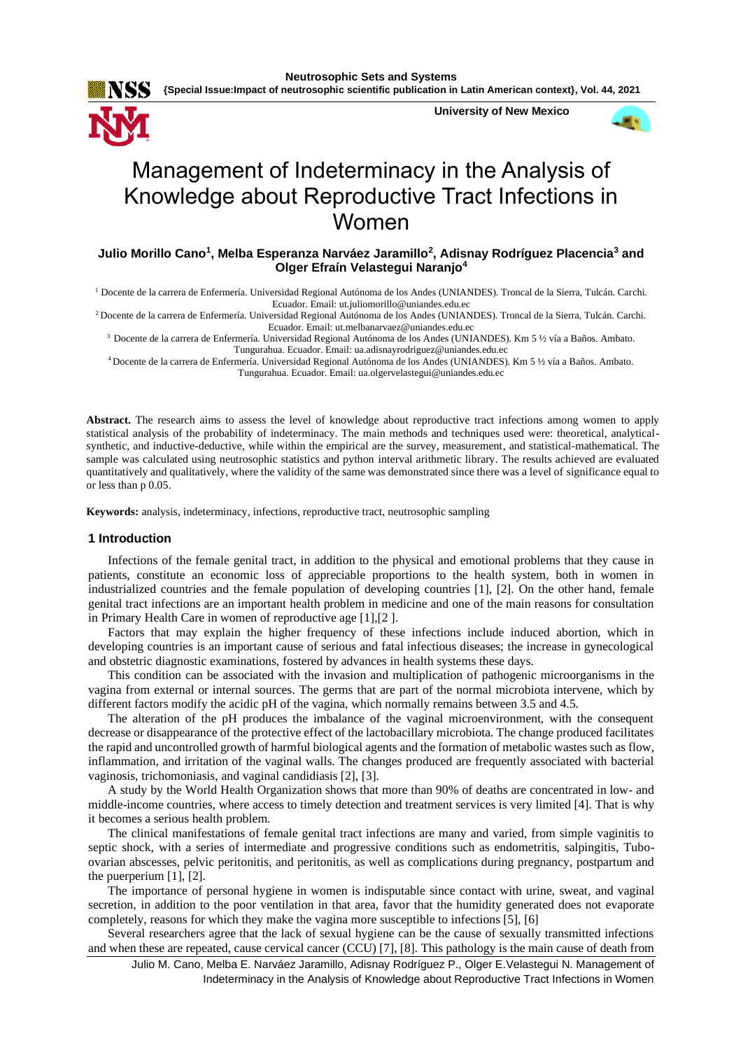**University of New Mexico**



# Management of Indeterminacy in the Analysis of Knowledge about Reproductive Tract Infections in Women

# **Julio Morillo Cano<sup>1</sup> , Melba Esperanza Narváez Jaramillo<sup>2</sup> , Adisnay Rodríguez Placencia<sup>3</sup> and Olger Efraín Velastegui Naranjo<sup>4</sup>**

<sup>1</sup> Docente de la carrera de Enfermería. Universidad Regional Autónoma de los Andes (UNIANDES). Troncal de la Sierra, Tulcán. Carchi. Ecuador. Email: ut.juliomorillo@uniandes.edu.ec

<sup>2</sup>Docente de la carrera de Enfermería. Universidad Regional Autónoma de los Andes (UNIANDES). Troncal de la Sierra, Tulcán. Carchi. Ecuador. Email: ut.melbanarvaez@uniandes.edu.ec

<sup>3</sup> Docente de la carrera de Enfermería. Universidad Regional Autónoma de los Andes (UNIANDES). Km 5 ½ vía a Baños. Ambato. Tungurahua. Ecuador. Email: ua.adisnayrodriguez@uniandes.edu.ec

<sup>4</sup>Docente de la carrera de Enfermería. Universidad Regional Autónoma de los Andes (UNIANDES). Km 5 ½ vía a Baños. Ambato. Tungurahua. Ecuador. Email: ua.olgervelastegui@uniandes.edu.ec

**Abstract.** The research aims to assess the level of knowledge about reproductive tract infections among women to apply statistical analysis of the probability of indeterminacy. The main methods and techniques used were: theoretical, analyticalsynthetic, and inductive-deductive, while within the empirical are the survey, measurement, and statistical-mathematical. The sample was calculated using neutrosophic statistics and python interval arithmetic library. The results achieved are evaluated quantitatively and qualitatively, where the validity of the same was demonstrated since there was a level of significance equal to or less than p 0.05.

**Keywords:** analysis, indeterminacy, infections, reproductive tract, neutrosophic sampling

# **1 Introduction**

Infections of the female genital tract, in addition to the physical and emotional problems that they cause in patients, constitute an economic loss of appreciable proportions to the health system, both in women in industrialized countries and the female population of developing countries [1], [2]. On the other hand, female genital tract infections are an important health problem in medicine and one of the main reasons for consultation in Primary Health Care in women of reproductive age [1],[2 ].

Factors that may explain the higher frequency of these infections include induced abortion, which in developing countries is an important cause of serious and fatal infectious diseases; the increase in gynecological and obstetric diagnostic examinations, fostered by advances in health systems these days.

This condition can be associated with the invasion and multiplication of pathogenic microorganisms in the vagina from external or internal sources. The germs that are part of the normal microbiota intervene, which by different factors modify the acidic pH of the vagina, which normally remains between 3.5 and 4.5.

The alteration of the pH produces the imbalance of the vaginal microenvironment, with the consequent decrease or disappearance of the protective effect of the lactobacillary microbiota. The change produced facilitates the rapid and uncontrolled growth of harmful biological agents and the formation of metabolic wastes such as flow, inflammation, and irritation of the vaginal walls. The changes produced are frequently associated with bacterial vaginosis, trichomoniasis, and vaginal candidiasis [2], [3].

A study by the World Health Organization shows that more than 90% of deaths are concentrated in low- and middle-income countries, where access to timely detection and treatment services is very limited [4]. That is why it becomes a serious health problem.

The clinical manifestations of female genital tract infections are many and varied, from simple vaginitis to septic shock, with a series of intermediate and progressive conditions such as endometritis, salpingitis, Tuboovarian abscesses, pelvic peritonitis, and peritonitis, as well as complications during pregnancy, postpartum and the puerperium [1], [2].

The importance of personal hygiene in women is indisputable since contact with urine, sweat, and vaginal secretion, in addition to the poor ventilation in that area, favor that the humidity generated does not evaporate completely, reasons for which they make the vagina more susceptible to infections [5], [6]

Several researchers agree that the lack of sexual hygiene can be the cause of sexually transmitted infections and when these are repeated, cause cervical cancer (CCU) [7], [8]. This pathology is the main cause of death from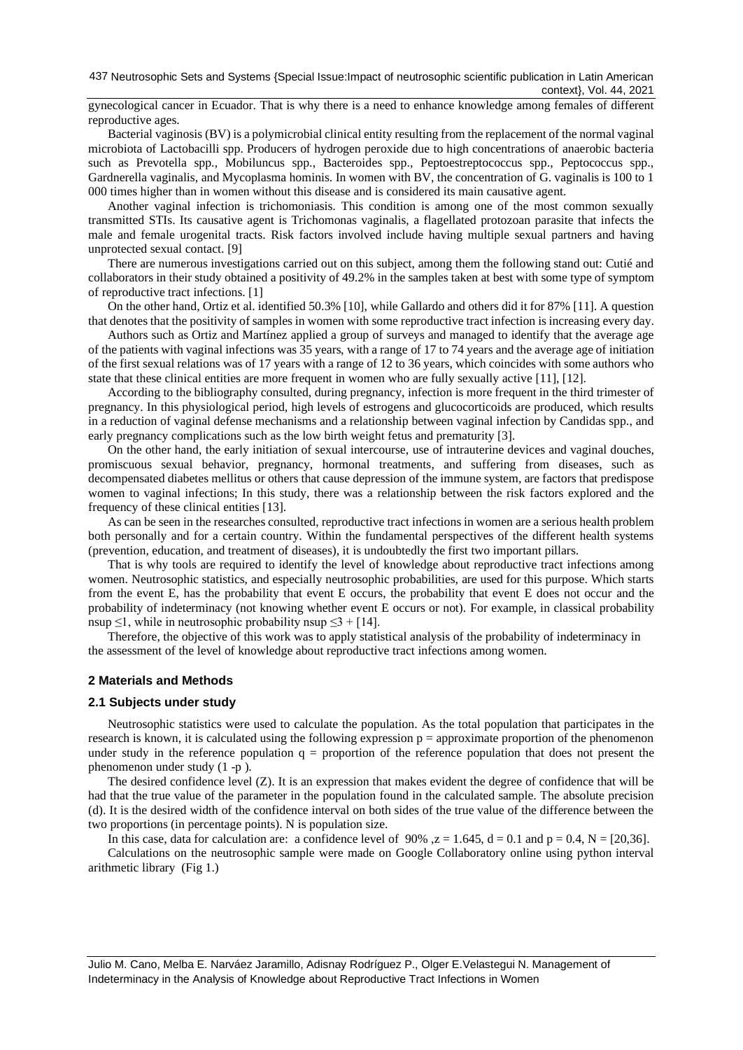gynecological cancer in Ecuador. That is why there is a need to enhance knowledge among females of different reproductive ages.

Bacterial vaginosis (BV) is a polymicrobial clinical entity resulting from the replacement of the normal vaginal microbiota of Lactobacilli spp. Producers of hydrogen peroxide due to high concentrations of anaerobic bacteria such as Prevotella spp., Mobiluncus spp., Bacteroides spp., Peptoestreptococcus spp., Peptococcus spp., Gardnerella vaginalis, and Mycoplasma hominis. In women with BV, the concentration of G. vaginalis is 100 to 1 000 times higher than in women without this disease and is considered its main causative agent.

Another vaginal infection is trichomoniasis. This condition is among one of the most common sexually transmitted STIs. Its causative agent is Trichomonas vaginalis, a flagellated protozoan parasite that infects the male and female urogenital tracts. Risk factors involved include having multiple sexual partners and having unprotected sexual contact. [9]

There are numerous investigations carried out on this subject, among them the following stand out: Cutié and collaborators in their study obtained a positivity of 49.2% in the samples taken at best with some type of symptom of reproductive tract infections. [1]

On the other hand, Ortiz et al. identified 50.3% [10], while Gallardo and others did it for 87% [11]. A question that denotes that the positivity of samples in women with some reproductive tract infection is increasing every day.

Authors such as Ortiz and Martínez applied a group of surveys and managed to identify that the average age of the patients with vaginal infections was 35 years, with a range of 17 to 74 years and the average age of initiation of the first sexual relations was of 17 years with a range of 12 to 36 years, which coincides with some authors who state that these clinical entities are more frequent in women who are fully sexually active [11], [12].

According to the bibliography consulted, during pregnancy, infection is more frequent in the third trimester of pregnancy. In this physiological period, high levels of estrogens and glucocorticoids are produced, which results in a reduction of vaginal defense mechanisms and a relationship between vaginal infection by Candidas spp., and early pregnancy complications such as the low birth weight fetus and prematurity [3].

On the other hand, the early initiation of sexual intercourse, use of intrauterine devices and vaginal douches, promiscuous sexual behavior, pregnancy, hormonal treatments, and suffering from diseases, such as decompensated diabetes mellitus or others that cause depression of the immune system, are factors that predispose women to vaginal infections; In this study, there was a relationship between the risk factors explored and the frequency of these clinical entities [13].

As can be seen in the researches consulted, reproductive tract infections in women are a serious health problem both personally and for a certain country. Within the fundamental perspectives of the different health systems (prevention, education, and treatment of diseases), it is undoubtedly the first two important pillars.

That is why tools are required to identify the level of knowledge about reproductive tract infections among women. Neutrosophic statistics, and especially neutrosophic probabilities, are used for this purpose. Which starts from the event E, has the probability that event E occurs, the probability that event E does not occur and the probability of indeterminacy (not knowing whether event E occurs or not). For example, in classical probability nsup  $\leq$ 1, while in neutrosophic probability nsup  $\leq$ 3 + [14].

Therefore, the objective of this work was to apply statistical analysis of the probability of indeterminacy in the assessment of the level of knowledge about reproductive tract infections among women.

## **2 Materials and Methods**

#### **2.1 Subjects under study**

Neutrosophic statistics were used to calculate the population. As the total population that participates in the research is known, it is calculated using the following expression  $p =$  approximate proportion of the phenomenon under study in the reference population  $q =$  proportion of the reference population that does not present the phenomenon under study (1 -p ).

The desired confidence level (Z). It is an expression that makes evident the degree of confidence that will be had that the true value of the parameter in the population found in the calculated sample. The absolute precision (d). It is the desired width of the confidence interval on both sides of the true value of the difference between the two proportions (in percentage points). N is population size.

In this case, data for calculation are: a confidence level of 90%,  $z = 1.645$ ,  $d = 0.1$  and  $p = 0.4$ ,  $N = [20,36]$ .

Calculations on the neutrosophic sample were made on Google Collaboratory online using python interval arithmetic library (Fig 1.)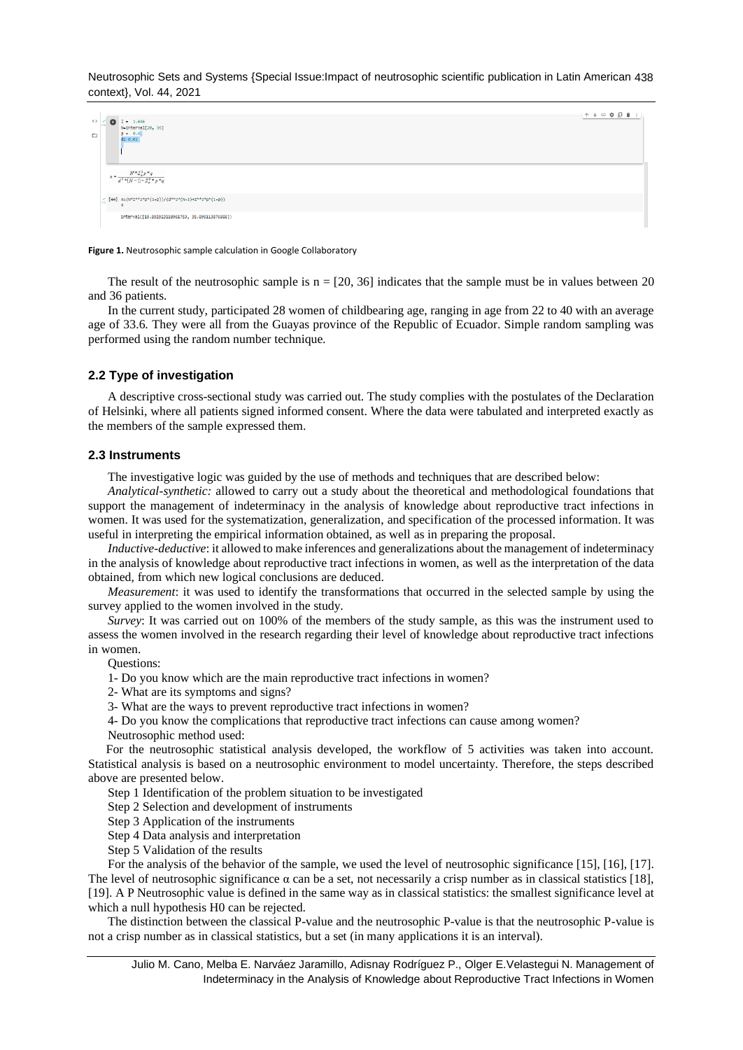Neutrosophic Sets and Systems {Special Issue:Impact of neutrosophic scientific publication in Latin American 438 context}, Vol. 44, 2021

| $\langle \rangle$<br>$\Box$ | $Z = 1.646$<br>N=interval[20, 36]<br>$p = 0.4$<br>$d = 0.01$                                                                                       | ↑↓◎幸日■Ⅰ |
|-----------------------------|----------------------------------------------------------------------------------------------------------------------------------------------------|---------|
|                             | $N^{\times}Z_a^2p^{\times}q$<br>$n = \frac{1}{d^2 * (N-1) + Z_{\alpha}^2 * p^* q}$                                                                 |         |
|                             | $\underset{\circ\; \circ\;}{\vee}\; \; \texttt{[44]} \  \  \, \texttt{n=(N*Z^{**}2^*p^*(1-p))/(d^{**}2^*(N-1)*Z^{**}2^*p^*(1-p))}$<br>$\mathbf{r}$ |         |
|                             | interval([19.892923110961753, 35.895113876888])                                                                                                    |         |

#### **Figure 1.** Neutrosophic sample calculation in Google Collaboratory

The result of the neutrosophic sample is  $n = [20, 36]$  indicates that the sample must be in values between 20 and 36 patients.

In the current study, participated 28 women of childbearing age, ranging in age from 22 to 40 with an average age of 33.6. They were all from the Guayas province of the Republic of Ecuador. Simple random sampling was performed using the random number technique.

## **2.2 Type of investigation**

A descriptive cross-sectional study was carried out. The study complies with the postulates of the Declaration of Helsinki, where all patients signed informed consent. Where the data were tabulated and interpreted exactly as the members of the sample expressed them.

#### **2.3 Instruments**

The investigative logic was guided by the use of methods and techniques that are described below:

*Analytical-synthetic:* allowed to carry out a study about the theoretical and methodological foundations that support the management of indeterminacy in the analysis of knowledge about reproductive tract infections in women. It was used for the systematization, generalization, and specification of the processed information. It was useful in interpreting the empirical information obtained, as well as in preparing the proposal.

*Inductive-deductive*: it allowed to make inferences and generalizations about the management of indeterminacy in the analysis of knowledge about reproductive tract infections in women, as well as the interpretation of the data obtained, from which new logical conclusions are deduced.

*Measurement*: it was used to identify the transformations that occurred in the selected sample by using the survey applied to the women involved in the study.

*Survey*: It was carried out on 100% of the members of the study sample, as this was the instrument used to assess the women involved in the research regarding their level of knowledge about reproductive tract infections in women.

Questions:

1- Do you know which are the main reproductive tract infections in women?

2- What are its symptoms and signs?

3- What are the ways to prevent reproductive tract infections in women?

4- Do you know the complications that reproductive tract infections can cause among women? Neutrosophic method used:

For the neutrosophic statistical analysis developed, the workflow of 5 activities was taken into account. Statistical analysis is based on a neutrosophic environment to model uncertainty. Therefore, the steps described above are presented below.

Step 1 Identification of the problem situation to be investigated

Step 2 Selection and development of instruments

Step 3 Application of the instruments

Step 4 Data analysis and interpretation

Step 5 Validation of the results

For the analysis of the behavior of the sample, we used the level of neutrosophic significance [15], [16], [17]. The level of neutrosophic significance  $\alpha$  can be a set, not necessarily a crisp number as in classical statistics [18], [19]. A P Neutrosophic value is defined in the same way as in classical statistics: the smallest significance level at which a null hypothesis H0 can be rejected.

The distinction between the classical P-value and the neutrosophic P-value is that the neutrosophic P-value is not a crisp number as in classical statistics, but a set (in many applications it is an interval).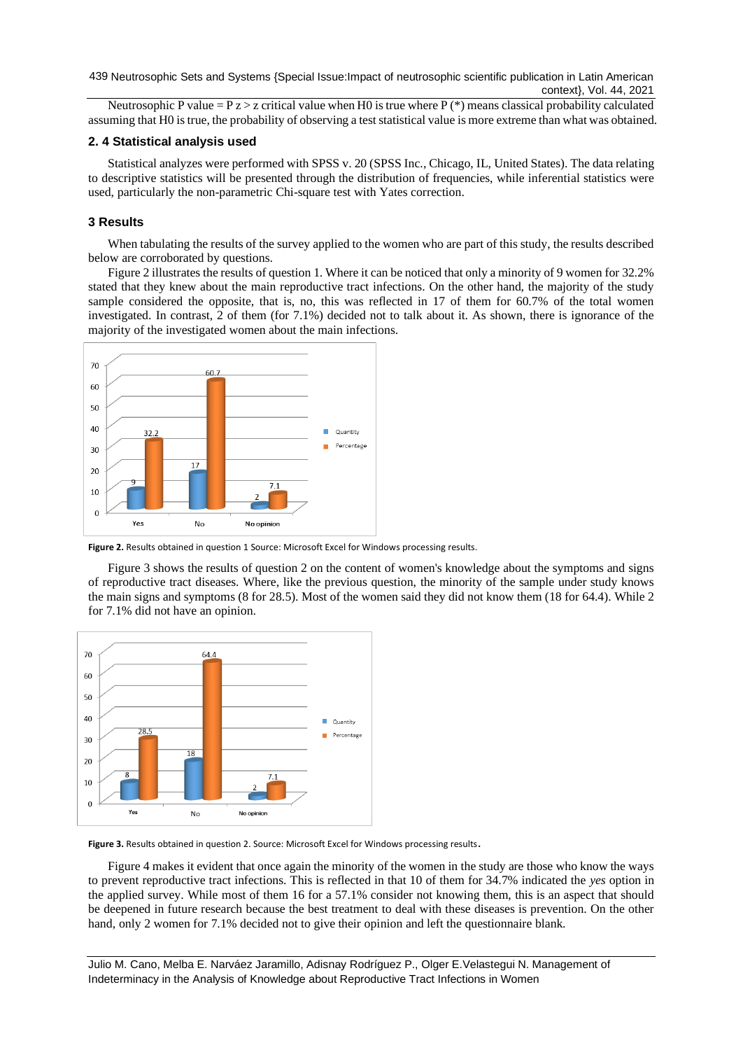439 Neutrosophic Sets and Systems {Special Issue: Impact of neutrosophic scientific publication in Latin American context}, Vol. 44, 2021

Neutrosophic P value =  $P z > z$  critical value when H0 is true where P (\*) means classical probability calculated assuming that H0 is true, the probability of observing a test statistical value is more extreme than what was obtained.

## **2. 4 Statistical analysis used**

Statistical analyzes were performed with SPSS v. 20 (SPSS Inc., Chicago, IL, United States). The data relating to descriptive statistics will be presented through the distribution of frequencies, while inferential statistics were used, particularly the non-parametric Chi-square test with Yates correction.

## **3 Results**

When tabulating the results of the survey applied to the women who are part of this study, the results described below are corroborated by questions.

Figure 2 illustrates the results of question 1. Where it can be noticed that only a minority of 9 women for 32.2% stated that they knew about the main reproductive tract infections. On the other hand, the majority of the study sample considered the opposite, that is, no, this was reflected in 17 of them for 60.7% of the total women investigated. In contrast, 2 of them (for 7.1%) decided not to talk about it. As shown, there is ignorance of the majority of the investigated women about the main infections.



**Figure 2.** Results obtained in question 1 Source: Microsoft Excel for Windows processing results.

Figure 3 shows the results of question 2 on the content of women's knowledge about the symptoms and signs of reproductive tract diseases. Where, like the previous question, the minority of the sample under study knows the main signs and symptoms (8 for 28.5). Most of the women said they did not know them (18 for 64.4). While 2 for 7.1% did not have an opinion.



**Figure 3.** Results obtained in question 2. Source: Microsoft Excel for Windows processing results.

Figure 4 makes it evident that once again the minority of the women in the study are those who know the ways to prevent reproductive tract infections. This is reflected in that 10 of them for 34.7% indicated the *yes* option in the applied survey. While most of them 16 for a 57.1% consider not knowing them, this is an aspect that should be deepened in future research because the best treatment to deal with these diseases is prevention. On the other hand, only 2 women for 7.1% decided not to give their opinion and left the questionnaire blank.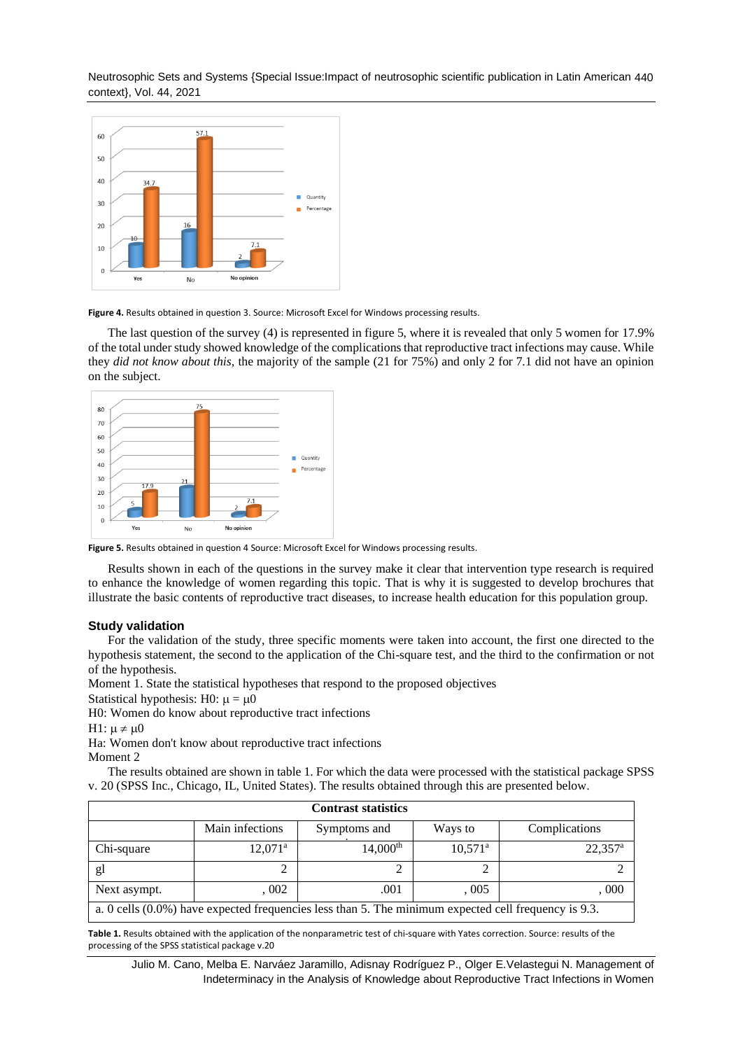Neutrosophic Sets and Systems {Special Issue:Impact of neutrosophic scientific publication in Latin American 440 context}, Vol. 44, 2021



**Figure 4.** Results obtained in question 3. Source: Microsoft Excel for Windows processing results.

The last question of the survey (4) is represented in figure 5, where it is revealed that only 5 women for 17.9% of the total under study showed knowledge of the complications that reproductive tract infections may cause. While they *did not know about this,* the majority of the sample (21 for 75%) and only 2 for 7.1 did not have an opinion on the subject.



**Figure 5.** Results obtained in question 4 Source: Microsoft Excel for Windows processing results.

Results shown in each of the questions in the survey make it clear that intervention type research is required to enhance the knowledge of women regarding this topic. That is why it is suggested to develop brochures that illustrate the basic contents of reproductive tract diseases, to increase health education for this population group.

## **Study validation**

For the validation of the study, three specific moments were taken into account, the first one directed to the hypothesis statement, the second to the application of the Chi-square test, and the third to the confirmation or not of the hypothesis.

Moment 1. State the statistical hypotheses that respond to the proposed objectives

Statistical hypothesis: H0:  $\mu = \mu 0$ 

H0: Women do know about reproductive tract infections

```
H1: \mu \neq \mu0
```
Ha: Women don't know about reproductive tract infections

Moment 2

The results obtained are shown in table 1. For which the data were processed with the statistical package SPSS v. 20 (SPSS Inc., Chicago, IL, United States). The results obtained through this are presented below.

| <b>Contrast statistics</b>                                                                           |                  |                        |                       |                       |  |  |  |
|------------------------------------------------------------------------------------------------------|------------------|------------------------|-----------------------|-----------------------|--|--|--|
|                                                                                                      | Main infections  | Symptoms and           | Ways to               | Complications         |  |  |  |
| Chi-square                                                                                           | $12,071^{\rm a}$ | $14,000$ <sup>th</sup> | $10,571$ <sup>a</sup> | $22,357$ <sup>a</sup> |  |  |  |
| gl                                                                                                   |                  |                        |                       |                       |  |  |  |
| Next asympt.                                                                                         | .002             | .001                   | .005                  | , 000                 |  |  |  |
| a. 0 cells (0.0%) have expected frequencies less than 5. The minimum expected cell frequency is 9.3. |                  |                        |                       |                       |  |  |  |

**Table 1.** Results obtained with the application of the nonparametric test of chi-square with Yates correction. Source: results of the processing of the SPSS statistical package v.20